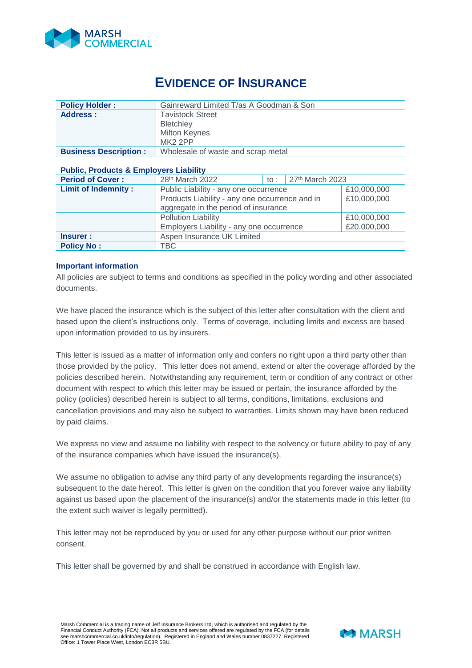

## **EVIDENCE OF INSURANCE**

| <b>Policy Holder:</b>        | Gainreward Limited T/as A Goodman & Son |  |  |  |
|------------------------------|-----------------------------------------|--|--|--|
| Address:                     | <b>Tavistock Street</b>                 |  |  |  |
|                              | Bletchley                               |  |  |  |
|                              | <b>Milton Keynes</b>                    |  |  |  |
|                              | MK2 2PP                                 |  |  |  |
| <b>Business Description:</b> | Wholesale of waste and scrap metal      |  |  |  |

## **Public, Products & Employers Liability**

| <b>Period of Cover:</b>    | 28 <sup>th</sup> March 2022                    | to : | $27th$ March 2023 |             |
|----------------------------|------------------------------------------------|------|-------------------|-------------|
| <b>Limit of Indemnity:</b> | Public Liability - any one occurrence          |      |                   | £10,000,000 |
|                            | Products Liability - any one occurrence and in |      |                   | £10,000,000 |
|                            | aggregate in the period of insurance           |      |                   |             |
|                            | <b>Pollution Liability</b>                     |      |                   | £10,000,000 |
|                            | Employers Liability - any one occurrence       |      |                   | £20,000,000 |
| Insurer :                  | Aspen Insurance UK Limited                     |      |                   |             |
| <b>Policy No:</b>          | TBC                                            |      |                   |             |

## **Important information**

All policies are subject to terms and conditions as specified in the policy wording and other associated documents.

We have placed the insurance which is the subject of this letter after consultation with the client and based upon the client's instructions only. Terms of coverage, including limits and excess are based upon information provided to us by insurers.

This letter is issued as a matter of information only and confers no right upon a third party other than those provided by the policy. This letter does not amend, extend or alter the coverage afforded by the policies described herein. Notwithstanding any requirement, term or condition of any contract or other document with respect to which this letter may be issued or pertain, the insurance afforded by the policy (policies) described herein is subject to all terms, conditions, limitations, exclusions and cancellation provisions and may also be subject to warranties. Limits shown may have been reduced by paid claims.

We express no view and assume no liability with respect to the solvency or future ability to pay of any of the insurance companies which have issued the insurance(s).

We assume no obligation to advise any third party of any developments regarding the insurance(s) subsequent to the date hereof. This letter is given on the condition that you forever waive any liability against us based upon the placement of the insurance(s) and/or the statements made in this letter (to the extent such waiver is legally permitted).

This letter may not be reproduced by you or used for any other purpose without our prior written consent.

This letter shall be governed by and shall be construed in accordance with English law.